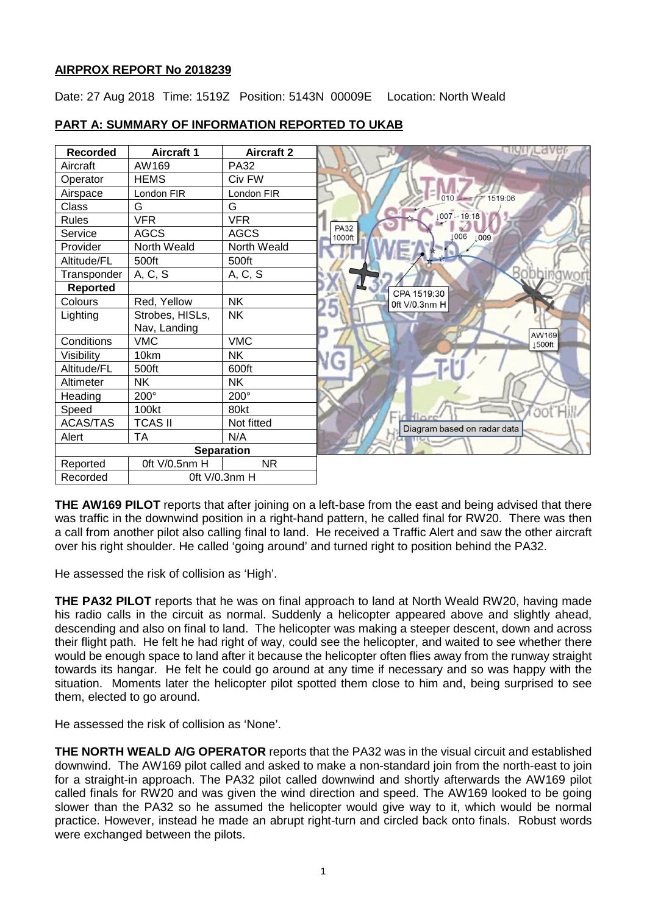## **AIRPROX REPORT No 2018239**

Date: 27 Aug 2018 Time: 1519Z Position: 5143N 00009E Location: North Weald



# **PART A: SUMMARY OF INFORMATION REPORTED TO UKAB**

**THE AW169 PILOT** reports that after joining on a left-base from the east and being advised that there was traffic in the downwind position in a right-hand pattern, he called final for RW20. There was then a call from another pilot also calling final to land. He received a Traffic Alert and saw the other aircraft over his right shoulder. He called 'going around' and turned right to position behind the PA32.

He assessed the risk of collision as 'High'.

**THE PA32 PILOT** reports that he was on final approach to land at North Weald RW20, having made his radio calls in the circuit as normal. Suddenly a helicopter appeared above and slightly ahead. descending and also on final to land. The helicopter was making a steeper descent, down and across their flight path. He felt he had right of way, could see the helicopter, and waited to see whether there would be enough space to land after it because the helicopter often flies away from the runway straight towards its hangar. He felt he could go around at any time if necessary and so was happy with the situation. Moments later the helicopter pilot spotted them close to him and, being surprised to see them, elected to go around.

He assessed the risk of collision as 'None'.

**THE NORTH WEALD A/G OPERATOR** reports that the PA32 was in the visual circuit and established downwind. The AW169 pilot called and asked to make a non-standard join from the north-east to join for a straight-in approach. The PA32 pilot called downwind and shortly afterwards the AW169 pilot called finals for RW20 and was given the wind direction and speed. The AW169 looked to be going slower than the PA32 so he assumed the helicopter would give way to it, which would be normal practice. However, instead he made an abrupt right-turn and circled back onto finals. Robust words were exchanged between the pilots.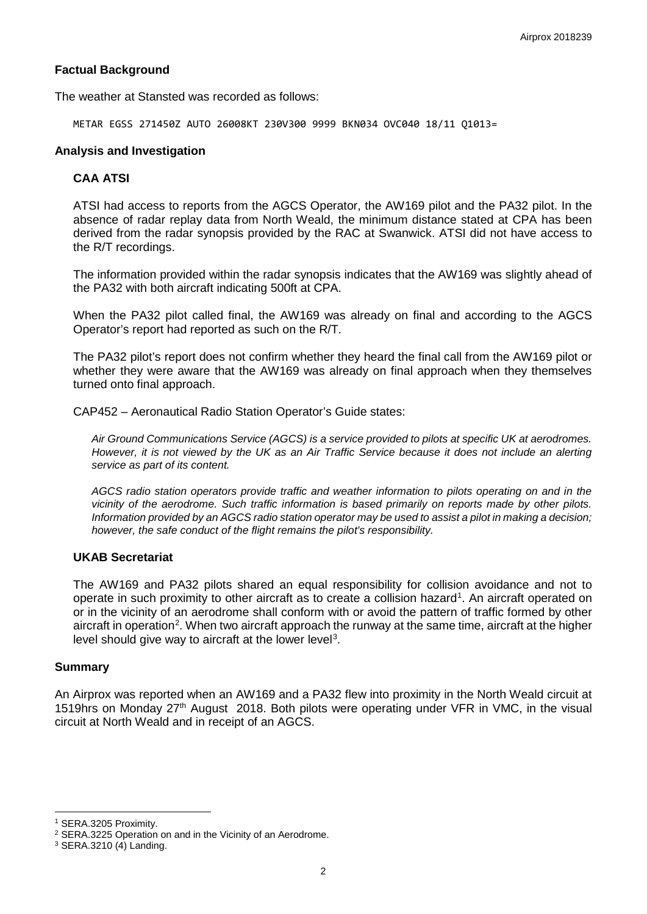### **Factual Background**

The weather at Stansted was recorded as follows:

METAR EGSS 271450Z AUTO 26008KT 230V300 9999 BKN034 OVC040 18/11 Q1013=

### **Analysis and Investigation**

## **CAA ATSI**

ATSI had access to reports from the AGCS Operator, the AW169 pilot and the PA32 pilot. In the absence of radar replay data from North Weald, the minimum distance stated at CPA has been derived from the radar synopsis provided by the RAC at Swanwick. ATSI did not have access to the R/T recordings.

The information provided within the radar synopsis indicates that the AW169 was slightly ahead of the PA32 with both aircraft indicating 500ft at CPA.

When the PA32 pilot called final, the AW169 was already on final and according to the AGCS Operator's report had reported as such on the R/T.

The PA32 pilot's report does not confirm whether they heard the final call from the AW169 pilot or whether they were aware that the AW169 was already on final approach when they themselves turned onto final approach.

CAP452 – Aeronautical Radio Station Operator's Guide states:

*Air Ground Communications Service (AGCS) is a service provided to pilots at specific UK at aerodromes. However, it is not viewed by the UK as an Air Traffic Service because it does not include an alerting service as part of its content.* 

*AGCS radio station operators provide traffic and weather information to pilots operating on and in the vicinity of the aerodrome. Such traffic information is based primarily on reports made by other pilots. Information provided by an AGCS radio station operator may be used to assist a pilot in making a decision; however, the safe conduct of the flight remains the pilot's responsibility.*

### **UKAB Secretariat**

The AW169 and PA32 pilots shared an equal responsibility for collision avoidance and not to operate in such proximity to other aircraft as to create a collision hazard<sup>[1](#page-1-0)</sup>. An aircraft operated on or in the vicinity of an aerodrome shall conform with or avoid the pattern of traffic formed by other aircraft in operation<sup>[2](#page-1-1)</sup>. When two aircraft approach the runway at the same time, aircraft at the higher level should give way to aircraft at the lower level<sup>[3](#page-1-2)</sup>.

#### **Summary**

An Airprox was reported when an AW169 and a PA32 flew into proximity in the North Weald circuit at 1519hrs on Monday 27th August 2018. Both pilots were operating under VFR in VMC, in the visual circuit at North Weald and in receipt of an AGCS.

 $\overline{\phantom{a}}$ 

<span id="page-1-0"></span><sup>1</sup> SERA.3205 Proximity.

<span id="page-1-1"></span><sup>2</sup> SERA.3225 Operation on and in the Vicinity of an Aerodrome.

<span id="page-1-2"></span><sup>3</sup> SERA.3210 (4) Landing.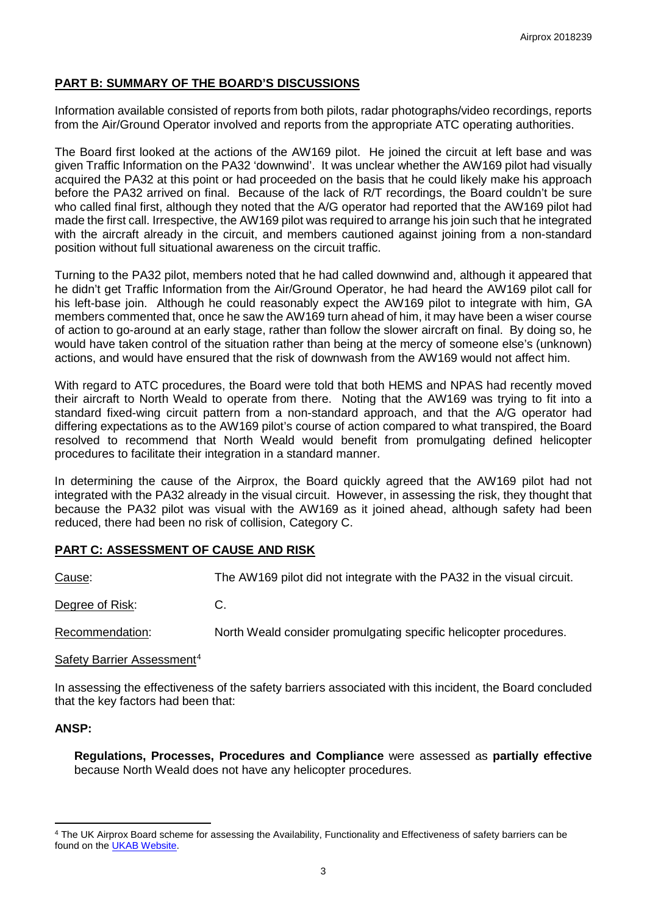## **PART B: SUMMARY OF THE BOARD'S DISCUSSIONS**

Information available consisted of reports from both pilots, radar photographs/video recordings, reports from the Air/Ground Operator involved and reports from the appropriate ATC operating authorities.

The Board first looked at the actions of the AW169 pilot. He joined the circuit at left base and was given Traffic Information on the PA32 'downwind'. It was unclear whether the AW169 pilot had visually acquired the PA32 at this point or had proceeded on the basis that he could likely make his approach before the PA32 arrived on final. Because of the lack of R/T recordings, the Board couldn't be sure who called final first, although they noted that the A/G operator had reported that the AW169 pilot had made the first call. Irrespective, the AW169 pilot was required to arrange his join such that he integrated with the aircraft already in the circuit, and members cautioned against joining from a non-standard position without full situational awareness on the circuit traffic.

Turning to the PA32 pilot, members noted that he had called downwind and, although it appeared that he didn't get Traffic Information from the Air/Ground Operator, he had heard the AW169 pilot call for his left-base join. Although he could reasonably expect the AW169 pilot to integrate with him, GA members commented that, once he saw the AW169 turn ahead of him, it may have been a wiser course of action to go-around at an early stage, rather than follow the slower aircraft on final. By doing so, he would have taken control of the situation rather than being at the mercy of someone else's (unknown) actions, and would have ensured that the risk of downwash from the AW169 would not affect him.

With regard to ATC procedures, the Board were told that both HEMS and NPAS had recently moved their aircraft to North Weald to operate from there. Noting that the AW169 was trying to fit into a standard fixed-wing circuit pattern from a non-standard approach, and that the A/G operator had differing expectations as to the AW169 pilot's course of action compared to what transpired, the Board resolved to recommend that North Weald would benefit from promulgating defined helicopter procedures to facilitate their integration in a standard manner.

In determining the cause of the Airprox, the Board quickly agreed that the AW169 pilot had not integrated with the PA32 already in the visual circuit. However, in assessing the risk, they thought that because the PA32 pilot was visual with the AW169 as it joined ahead, although safety had been reduced, there had been no risk of collision, Category C.

## **PART C: ASSESSMENT OF CAUSE AND RISK**

Cause: The AW169 pilot did not integrate with the PA32 in the visual circuit.

Degree of Risk: C.

Recommendation: North Weald consider promulgating specific helicopter procedures.

### Safety Barrier Assessment<sup>[4](#page-2-0)</sup>

In assessing the effectiveness of the safety barriers associated with this incident, the Board concluded that the key factors had been that:

### **ANSP:**

l

**Regulations, Processes, Procedures and Compliance** were assessed as **partially effective** because North Weald does not have any helicopter procedures.

<span id="page-2-0"></span><sup>4</sup> The UK Airprox Board scheme for assessing the Availability, Functionality and Effectiveness of safety barriers can be found on the [UKAB Website.](http://www.airproxboard.org.uk/Learn-more/Airprox-Barrier-Assessment/)